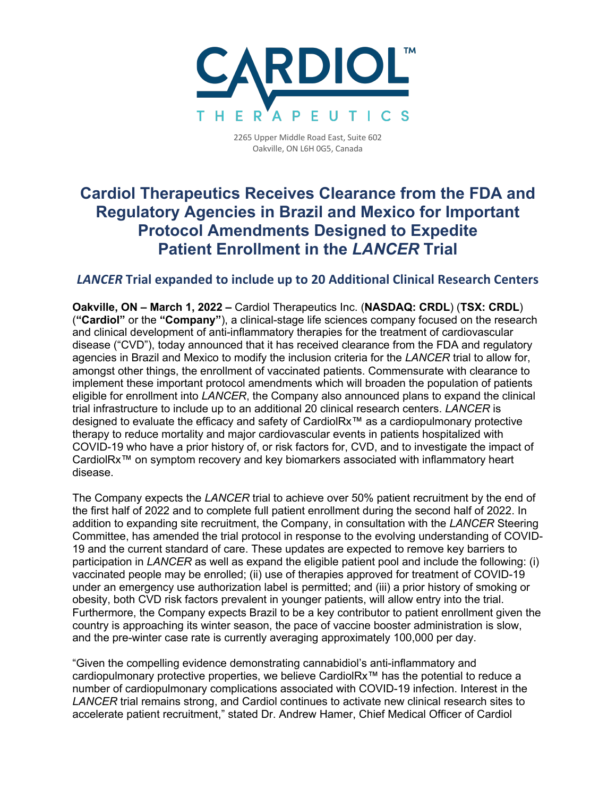

2265 Upper Middle Road East, Suite 602 Oakville, ON L6H 0G5, Canada

# **Cardiol Therapeutics Receives Clearance from the FDA and Regulatory Agencies in Brazil and Mexico for Important Protocol Amendments Designed to Expedite Patient Enrollment in the** *LANCER* **Trial**

## *LANCER* **Trial expanded to include up to 20 Additional Clinical Research Centers**

**Oakville, ON – March 1, 2022 –** Cardiol Therapeutics Inc. (**NASDAQ: CRDL**) (**TSX: CRDL**) (**"Cardiol"** or the **"Company"**), a clinical-stage life sciences company focused on the research and clinical development of anti-inflammatory therapies for the treatment of cardiovascular disease ("CVD"), today announced that it has received clearance from the FDA and regulatory agencies in Brazil and Mexico to modify the inclusion criteria for the *LANCER* trial to allow for, amongst other things, the enrollment of vaccinated patients. Commensurate with clearance to implement these important protocol amendments which will broaden the population of patients eligible for enrollment into *LANCER*, the Company also announced plans to expand the clinical trial infrastructure to include up to an additional 20 clinical research centers. *LANCER* is designed to evaluate the efficacy and safety of CardiolRx™ as a cardiopulmonary protective therapy to reduce mortality and major cardiovascular events in patients hospitalized with COVID-19 who have a prior history of, or risk factors for, CVD, and to investigate the impact of CardiolRx™ on symptom recovery and key biomarkers associated with inflammatory heart disease.

The Company expects the *LANCER* trial to achieve over 50% patient recruitment by the end of the first half of 2022 and to complete full patient enrollment during the second half of 2022. In addition to expanding site recruitment, the Company, in consultation with the *LANCER* Steering Committee, has amended the trial protocol in response to the evolving understanding of COVID-19 and the current standard of care. These updates are expected to remove key barriers to participation in *LANCER* as well as expand the eligible patient pool and include the following: (i) vaccinated people may be enrolled; (ii) use of therapies approved for treatment of COVID-19 under an emergency use authorization label is permitted; and (iii) a prior history of smoking or obesity, both CVD risk factors prevalent in younger patients, will allow entry into the trial. Furthermore, the Company expects Brazil to be a key contributor to patient enrollment given the country is approaching its winter season, the pace of vaccine booster administration is slow, and the pre-winter case rate is currently averaging approximately 100,000 per day.

"Given the compelling evidence demonstrating cannabidiol's anti-inflammatory and cardiopulmonary protective properties, we believe CardiolRx™ has the potential to reduce a number of cardiopulmonary complications associated with COVID-19 infection. Interest in the *LANCER* trial remains strong, and Cardiol continues to activate new clinical research sites to accelerate patient recruitment," stated Dr. Andrew Hamer, Chief Medical Officer of Cardiol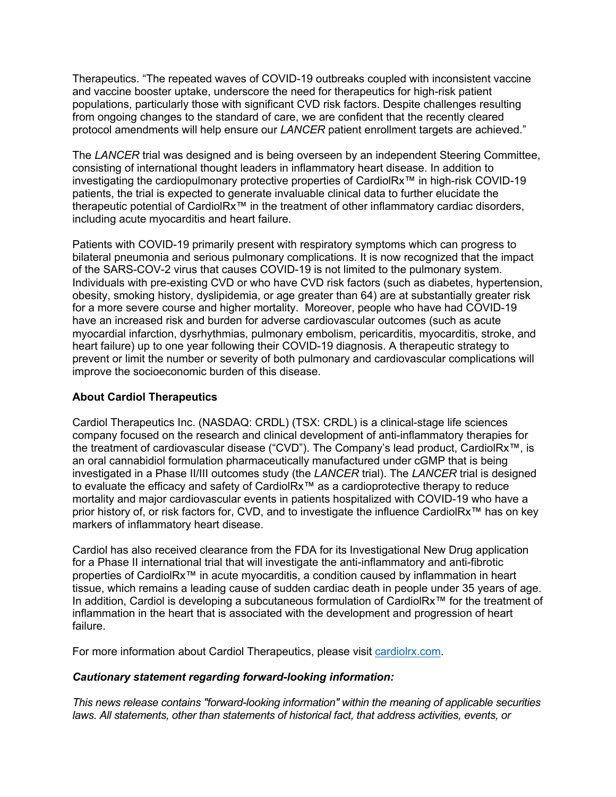Therapeutics. "The repeated waves of COVID-19 outbreaks coupled with inconsistent vaccine and vaccine booster uptake, underscore the need for therapeutics for high-risk patient populations, particularly those with significant CVD risk factors. Despite challenges resulting from ongoing changes to the standard of care, we are confident that the recently cleared protocol amendments will help ensure our *LANCER* patient enrollment targets are achieved."

The *LANCER* trial was designed and is being overseen by an independent Steering Committee, consisting of international thought leaders in inflammatory heart disease. In addition to investigating the cardiopulmonary protective properties of CardiolRx™ in high-risk COVID-19 patients, the trial is expected to generate invaluable clinical data to further elucidate the therapeutic potential of CardiolRx™ in the treatment of other inflammatory cardiac disorders, including acute myocarditis and heart failure.

Patients with COVID-19 primarily present with respiratory symptoms which can progress to bilateral pneumonia and serious pulmonary complications. It is now recognized that the impact of the SARS-COV-2 virus that causes COVID-19 is not limited to the pulmonary system. Individuals with pre-existing CVD or who have CVD risk factors (such as diabetes, hypertension, obesity, smoking history, dyslipidemia, or age greater than 64) are at substantially greater risk for a more severe course and higher mortality. Moreover, people who have had COVID-19 have an increased risk and burden for adverse cardiovascular outcomes (such as acute myocardial infarction, dysrhythmias, pulmonary embolism, pericarditis, myocarditis, stroke, and heart failure) up to one year following their COVID-19 diagnosis. A therapeutic strategy to prevent or limit the number or severity of both pulmonary and cardiovascular complications will improve the socioeconomic burden of this disease.

### **About Cardiol Therapeutics**

Cardiol Therapeutics Inc. (NASDAQ: CRDL) (TSX: CRDL) is a clinical-stage life sciences company focused on the research and clinical development of anti-inflammatory therapies for the treatment of cardiovascular disease ("CVD"). The Company's lead product, CardiolRx™, is an oral cannabidiol formulation pharmaceutically manufactured under cGMP that is being investigated in a Phase II/III outcomes study (the *LANCER* trial). The *LANCER* trial is designed to evaluate the efficacy and safety of CardiolRx™ as a cardioprotective therapy to reduce mortality and major cardiovascular events in patients hospitalized with COVID-19 who have a prior history of, or risk factors for, CVD, and to investigate the influence CardiolRx™ has on key markers of inflammatory heart disease.

Cardiol has also received clearance from the FDA for its Investigational New Drug application for a Phase II international trial that will investigate the anti-inflammatory and anti-fibrotic properties of CardiolRx<sup>™</sup> in acute myocarditis, a condition caused by inflammation in heart tissue, which remains a leading cause of sudden cardiac death in people under 35 years of age. In addition, Cardiol is developing a subcutaneous formulation of CardiolRx™ for the treatment of inflammation in the heart that is associated with the development and progression of heart failure.

For more information about Cardiol Therapeutics, please visit cardiolrx.com.

#### *Cautionary statement regarding forward-looking information:*

*This news release contains "forward-looking information" within the meaning of applicable securities laws. All statements, other than statements of historical fact, that address activities, events, or*